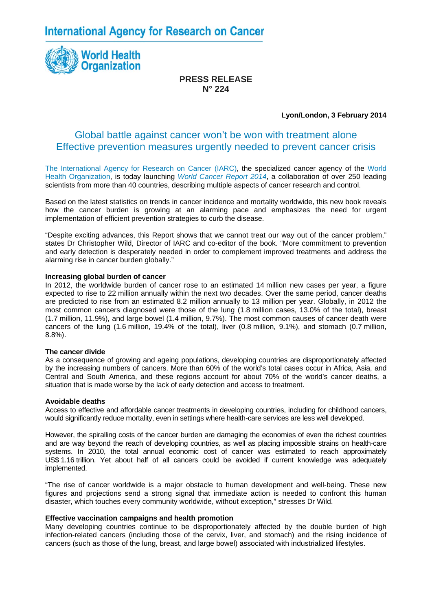**International Agency for Research on Cancer** 



# **PRESS RELEASE N° 224**

# **Lyon/London, 3 February 2014**

# Global battle against cancer won't be won with treatment alone Effective prevention measures urgently needed to prevent cancer crisis

[The International Agency for Research on Cancer \(IARC\)](http://www.iarc.fr/), the specialized cancer agency of the [World](http://www.who.int/en/)  [Health Organization,](http://www.who.int/en/) is today launching *[World Cancer Report 2014](http://www.iarc.fr/en/publications/books/wcr/wcr-order.php)*, a collaboration of over 250 leading scientists from more than 40 countries, describing multiple aspects of cancer research and control.

Based on the latest statistics on trends in cancer incidence and mortality worldwide, this new book reveals how the cancer burden is growing at an alarming pace and emphasizes the need for urgent implementation of efficient prevention strategies to curb the disease.

"Despite exciting advances, this Report shows that we cannot treat our way out of the cancer problem," states Dr Christopher Wild, Director of IARC and co-editor of the book. "More commitment to prevention and early detection is desperately needed in order to complement improved treatments and address the alarming rise in cancer burden globally."

# **Increasing global burden of cancer**

In 2012, the worldwide burden of cancer rose to an estimated 14 million new cases per year, a figure expected to rise to 22 million annually within the next two decades. Over the same period, cancer deaths are predicted to rise from an estimated 8.2 million annually to 13 million per year. Globally, in 2012 the most common cancers diagnosed were those of the lung (1.8 million cases, 13.0% of the total), breast (1.7 million, 11.9%), and large bowel (1.4 million, 9.7%). The most common causes of cancer death were cancers of the lung (1.6 million, 19.4% of the total), liver (0.8 million, 9.1%), and stomach (0.7 million, 8.8%).

#### **The cancer divide**

As a consequence of growing and ageing populations, developing countries are disproportionately affected by the increasing numbers of cancers. More than 60% of the world's total cases occur in Africa, Asia, and Central and South America, and these regions account for about 70% of the world's cancer deaths, a situation that is made worse by the lack of early detection and access to treatment.

#### **Avoidable deaths**

Access to effective and affordable cancer treatments in developing countries, including for childhood cancers, would significantly reduce mortality, even in settings where health-care services are less well developed.

However, the spiralling costs of the cancer burden are damaging the economies of even the richest countries and are way beyond the reach of developing countries, as well as placing impossible strains on health-care systems. In 2010, the total annual economic cost of cancer was estimated to reach approximately US\$ 1.16 trillion. Yet about half of all cancers could be avoided if current knowledge was adequately implemented.

"The rise of cancer worldwide is a major obstacle to human development and well-being. These new figures and projections send a strong signal that immediate action is needed to confront this human disaster, which touches every community worldwide, without exception," stresses Dr Wild.

# **Effective vaccination campaigns and health promotion**

Many developing countries continue to be disproportionately affected by the double burden of high infection-related cancers (including those of the cervix, liver, and stomach) and the rising incidence of cancers (such as those of the lung, breast, and large bowel) associated with industrialized lifestyles.